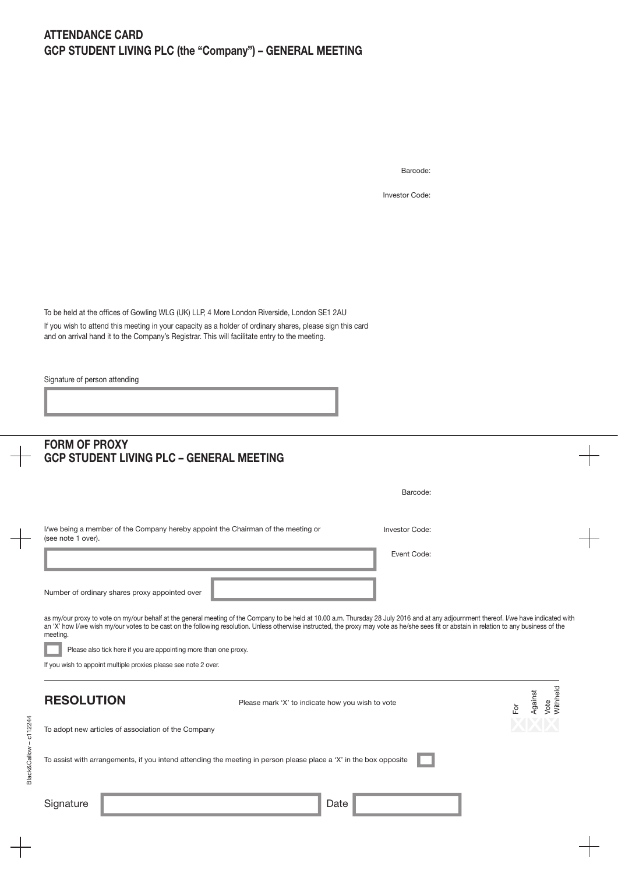Barcode:

Investor Code:

To be held at the offices of Gowling WLG (UK) LLP, 4 More London Riverside, London SE1 2AU If you wish to attend this meeting in your capacity as a holder of ordinary shares, please sign this card and on arrival hand it to the Company's Registrar. This will facilitate entry to the meeting.

Signature of person attending

|                        | <b>FORM OF PROXY</b><br><b>GCP STUDENT LIVING PLC - GENERAL MEETING</b>                                                                                                                                                                                                                                                                                                                          |                                    |  |
|------------------------|--------------------------------------------------------------------------------------------------------------------------------------------------------------------------------------------------------------------------------------------------------------------------------------------------------------------------------------------------------------------------------------------------|------------------------------------|--|
|                        | Barcode:                                                                                                                                                                                                                                                                                                                                                                                         |                                    |  |
|                        | I/we being a member of the Company hereby appoint the Chairman of the meeting or<br><b>Investor Code:</b><br>(see note 1 over).                                                                                                                                                                                                                                                                  |                                    |  |
|                        | Event Code:                                                                                                                                                                                                                                                                                                                                                                                      |                                    |  |
|                        | Number of ordinary shares proxy appointed over                                                                                                                                                                                                                                                                                                                                                   |                                    |  |
|                        | as my/our proxy to vote on my/our behalf at the general meeting of the Company to be held at 10.00 a.m. Thursday 28 July 2016 and at any adjournment thereof. I/we have indicated with<br>an 'X' how I/we wish my/our votes to be cast on the following resolution. Unless otherwise instructed, the proxy may vote as he/she sees fit or abstain in relation to any business of the<br>meeting. |                                    |  |
|                        | Please also tick here if you are appointing more than one proxy.                                                                                                                                                                                                                                                                                                                                 |                                    |  |
|                        | If you wish to appoint multiple proxies please see note 2 over.                                                                                                                                                                                                                                                                                                                                  |                                    |  |
|                        | <b>RESOLUTION</b><br>Please mark 'X' to indicate how you wish to vote<br>For                                                                                                                                                                                                                                                                                                                     | <b>Nithheld</b><br>Against<br>Vote |  |
|                        | To adopt new articles of association of the Company                                                                                                                                                                                                                                                                                                                                              |                                    |  |
| Black&Callow - c112244 | To assist with arrangements, if you intend attending the meeting in person please place a 'X' in the box opposite                                                                                                                                                                                                                                                                                |                                    |  |
|                        | Signature<br>Date                                                                                                                                                                                                                                                                                                                                                                                |                                    |  |